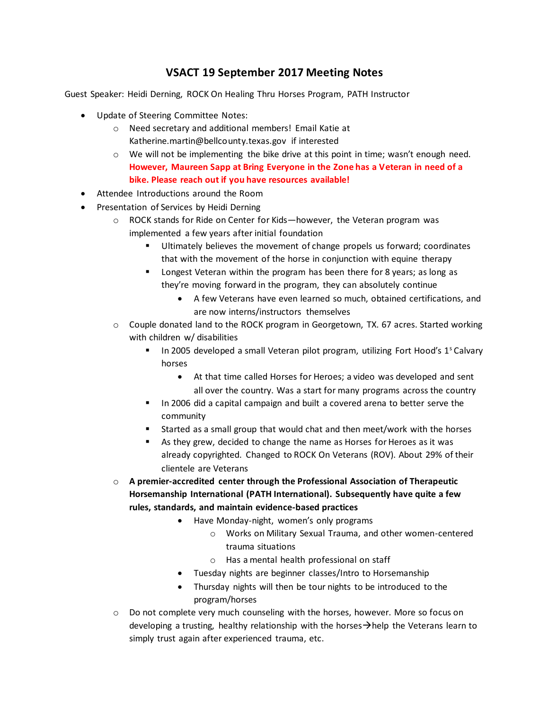## **VSACT 19 September 2017 Meeting Notes**

Guest Speaker: Heidi Derning, ROCK On Healing Thru Horses Program, PATH Instructor

- Update of Steering Committee Notes:
	- o Need secretary and additional members! Email Katie at [Katherine.martin@bellcounty.texas.gov](mailto:Katherine.martin@bellcounty.texas.gov) if interested
	- $\circ$  We will not be implementing the bike drive at this point in time; wasn't enough need. **However, Maureen Sapp at Bring Everyone in the Zone has a Veteran in need of a bike. Please reach out if you have resources available!**
- Attendee Introductions around the Room
- Presentation of Services by Heidi Derning
	- $\circ$  ROCK stands for Ride on Center for Kids—however, the Veteran program was implemented a few years after initial foundation
		- Ultimately believes the movement of change propels us forward; coordinates that with the movement of the horse in conjunction with equine therapy
		- Longest Veteran within the program has been there for 8 years; as long as they're moving forward in the program, they can absolutely continue
			- A few Veterans have even learned so much, obtained certifications, and are now interns/instructors themselves
	- o Couple donated land to the ROCK program in Georgetown, TX. 67 acres. Started working with children w/ disabilities
		- In 2005 developed a small Veteran pilot program, utilizing Fort Hood's 1<sup>s</sup> Calvary horses
			- At that time called Horses for Heroes; a video was developed and sent all over the country. Was a start for many programs across the country
		- In 2006 did a capital campaign and built a covered arena to better serve the community
		- Started as a small group that would chat and then meet/work with the horses
		- As they grew, decided to change the name as Horses for Heroes as it was already copyrighted. Changed to ROCK On Veterans (ROV). About 29% of their clientele are Veterans
	- o **A premier-accredited center through the Professional Association of Therapeutic Horsemanship International (PATH International). Subsequently have quite a few rules, standards, and maintain evidence-based practices**
		- Have Monday-night, women's only programs
			- o Works on Military Sexual Trauma, and other women-centered trauma situations
			- o Has a mental health professional on staff
		- Tuesday nights are beginner classes/Intro to Horsemanship
		- Thursday nights will then be tour nights to be introduced to the program/horses
	- $\circ$  Do not complete very much counseling with the horses, however. More so focus on developing a trusting, healthy relationship with the horses $\rightarrow$ help the Veterans learn to simply trust again after experienced trauma, etc.